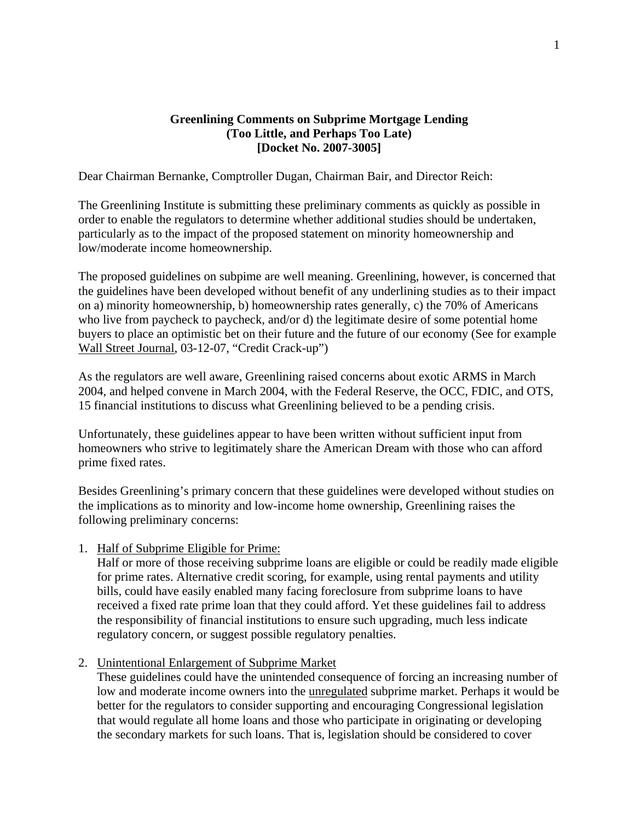## **Greenlining Comments on Subprime Mortgage Lending (Too Little, and Perhaps Too Late) [Docket No. 2007-3005]**

Dear Chairman Bernanke, Comptroller Dugan, Chairman Bair, and Director Reich:

The Greenlining Institute is submitting these preliminary comments as quickly as possible in order to enable the regulators to determine whether additional studies should be undertaken, particularly as to the impact of the proposed statement on minority homeownership and low/moderate income homeownership.

The proposed guidelines on subpime are well meaning. Greenlining, however, is concerned that the guidelines have been developed without benefit of any underlining studies as to their impact on a) minority homeownership, b) homeownership rates generally, c) the 70% of Americans who live from paycheck to paycheck, and/or d) the legitimate desire of some potential home buyers to place an optimistic bet on their future and the future of our economy (See for example Wall Street Journal, 03-12-07, "Credit Crack-up")

As the regulators are well aware, Greenlining raised concerns about exotic ARMS in March 2004, and helped convene in March 2004, with the Federal Reserve, the OCC, FDIC, and OTS, 15 financial institutions to discuss what Greenlining believed to be a pending crisis.

Unfortunately, these guidelines appear to have been written without sufficient input from homeowners who strive to legitimately share the American Dream with those who can afford prime fixed rates.

Besides Greenlining's primary concern that these guidelines were developed without studies on the implications as to minority and low-income home ownership, Greenlining raises the following preliminary concerns:

1. Half of Subprime Eligible for Prime:

Half or more of those receiving subprime loans are eligible or could be readily made eligible for prime rates. Alternative credit scoring, for example, using rental payments and utility bills, could have easily enabled many facing foreclosure from subprime loans to have received a fixed rate prime loan that they could afford. Yet these guidelines fail to address the responsibility of financial institutions to ensure such upgrading, much less indicate regulatory concern, or suggest possible regulatory penalties.

2. Unintentional Enlargement of Subprime Market

These guidelines could have the unintended consequence of forcing an increasing number of low and moderate income owners into the unregulated subprime market. Perhaps it would be better for the regulators to consider supporting and encouraging Congressional legislation that would regulate all home loans and those who participate in originating or developing the secondary markets for such loans. That is, legislation should be considered to cover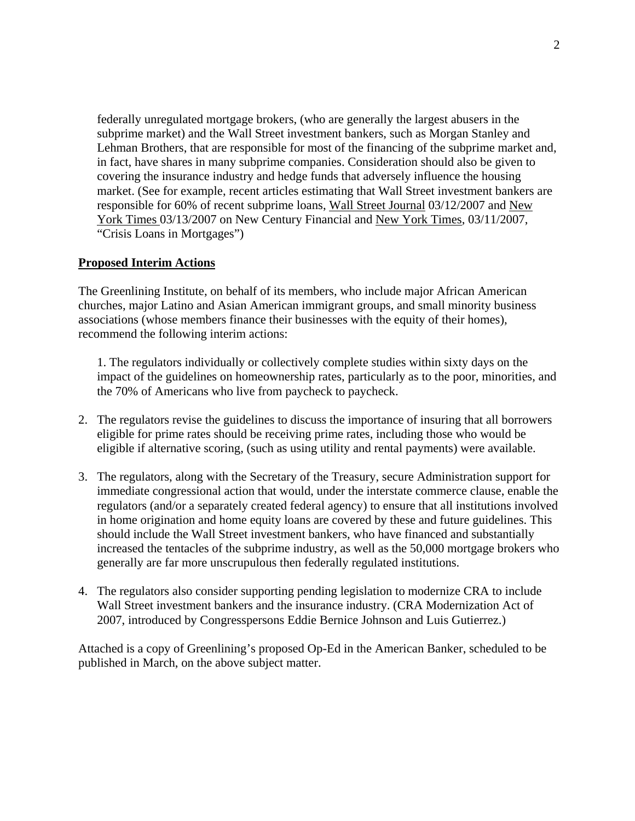federally unregulated mortgage brokers, (who are generally the largest abusers in the subprime market) and the Wall Street investment bankers, such as Morgan Stanley and Lehman Brothers, that are responsible for most of the financing of the subprime market and, in fact, have shares in many subprime companies. Consideration should also be given to covering the insurance industry and hedge funds that adversely influence the housing market. (See for example, recent articles estimating that Wall Street investment bankers are responsible for 60% of recent subprime loans, Wall Street Journal 03/12/2007 and New York Times 03/13/2007 on New Century Financial and New York Times, 03/11/2007, "Crisis Loans in Mortgages")

## **Proposed Interim Actions**

The Greenlining Institute, on behalf of its members, who include major African American churches, major Latino and Asian American immigrant groups, and small minority business associations (whose members finance their businesses with the equity of their homes), recommend the following interim actions:

1. The regulators individually or collectively complete studies within sixty days on the impact of the guidelines on homeownership rates, particularly as to the poor, minorities, and the 70% of Americans who live from paycheck to paycheck.

- 2. The regulators revise the guidelines to discuss the importance of insuring that all borrowers eligible for prime rates should be receiving prime rates, including those who would be eligible if alternative scoring, (such as using utility and rental payments) were available.
- 3. The regulators, along with the Secretary of the Treasury, secure Administration support for immediate congressional action that would, under the interstate commerce clause, enable the regulators (and/or a separately created federal agency) to ensure that all institutions involved in home origination and home equity loans are covered by these and future guidelines. This should include the Wall Street investment bankers, who have financed and substantially increased the tentacles of the subprime industry, as well as the 50,000 mortgage brokers who generally are far more unscrupulous then federally regulated institutions.
- 4. The regulators also consider supporting pending legislation to modernize CRA to include Wall Street investment bankers and the insurance industry. (CRA Modernization Act of 2007, introduced by Congresspersons Eddie Bernice Johnson and Luis Gutierrez.)

Attached is a copy of Greenlining's proposed Op-Ed in the American Banker, scheduled to be published in March, on the above subject matter.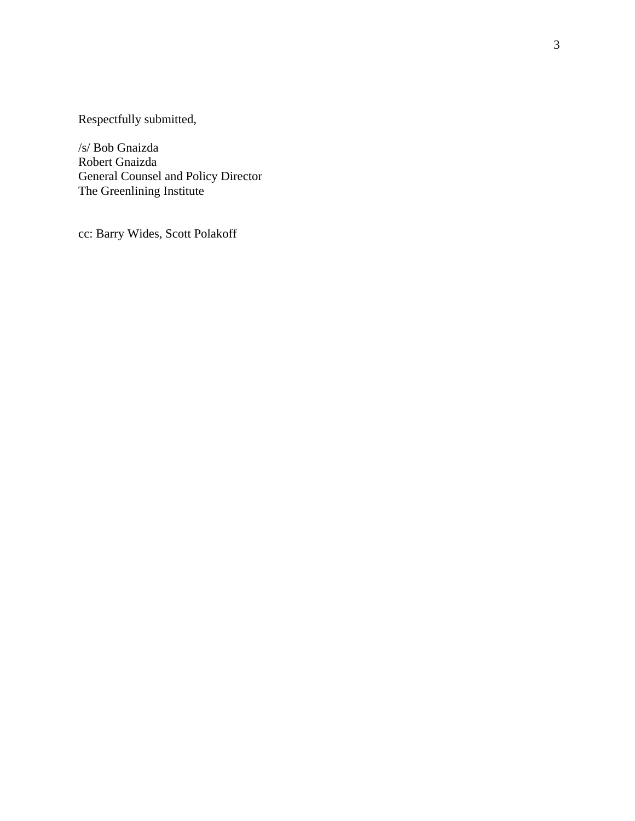Respectfully submitted,

/s/ Bob Gnaizda Robert Gnaizda General Counsel and Policy Director The Greenlining Institute

cc: Barry Wides, Scott Polakoff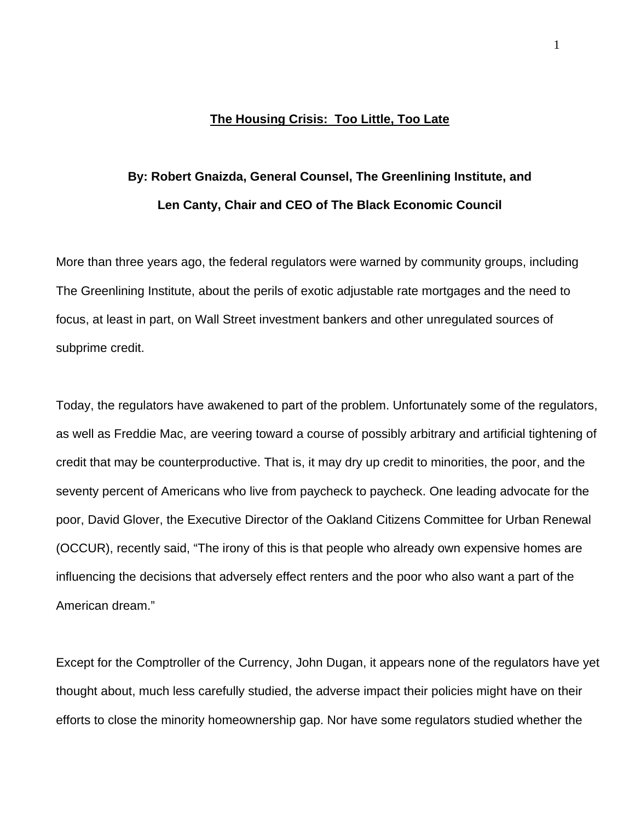## **The Housing Crisis: Too Little, Too Late**

# **By: Robert Gnaizda, General Counsel, The Greenlining Institute, and Len Canty, Chair and CEO of The Black Economic Council**

More than three years ago, the federal regulators were warned by community groups, including The Greenlining Institute, about the perils of exotic adjustable rate mortgages and the need to focus, at least in part, on Wall Street investment bankers and other unregulated sources of subprime credit.

Today, the regulators have awakened to part of the problem. Unfortunately some of the regulators, as well as Freddie Mac, are veering toward a course of possibly arbitrary and artificial tightening of credit that may be counterproductive. That is, it may dry up credit to minorities, the poor, and the seventy percent of Americans who live from paycheck to paycheck. One leading advocate for the poor, David Glover, the Executive Director of the Oakland Citizens Committee for Urban Renewal (OCCUR), recently said, "The irony of this is that people who already own expensive homes are influencing the decisions that adversely effect renters and the poor who also want a part of the American dream."

Except for the Comptroller of the Currency, John Dugan, it appears none of the regulators have yet thought about, much less carefully studied, the adverse impact their policies might have on their efforts to close the minority homeownership gap. Nor have some regulators studied whether the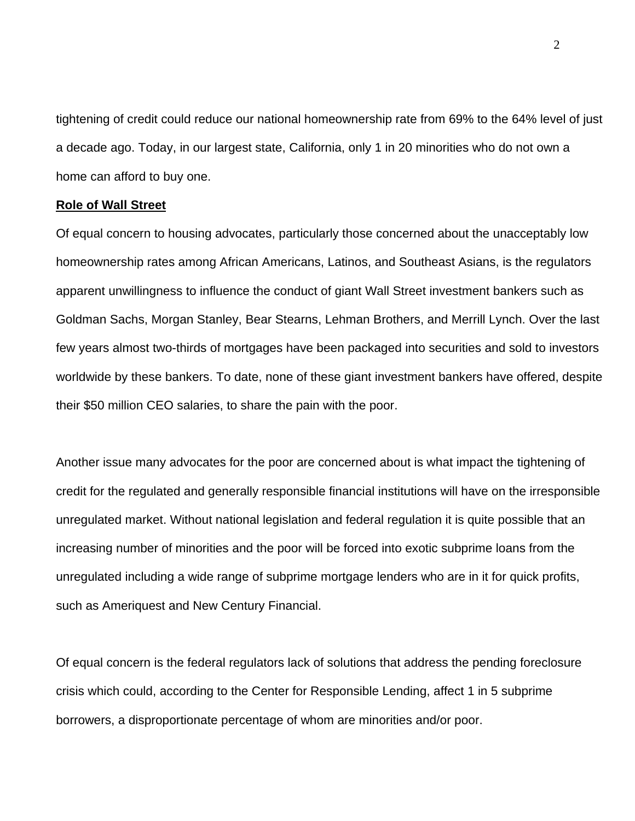tightening of credit could reduce our national homeownership rate from 69% to the 64% level of just a decade ago. Today, in our largest state, California, only 1 in 20 minorities who do not own a home can afford to buy one.

### **Role of Wall Street**

Of equal concern to housing advocates, particularly those concerned about the unacceptably low homeownership rates among African Americans, Latinos, and Southeast Asians, is the regulators apparent unwillingness to influence the conduct of giant Wall Street investment bankers such as Goldman Sachs, Morgan Stanley, Bear Stearns, Lehman Brothers, and Merrill Lynch. Over the last few years almost two-thirds of mortgages have been packaged into securities and sold to investors worldwide by these bankers. To date, none of these giant investment bankers have offered, despite their \$50 million CEO salaries, to share the pain with the poor.

Another issue many advocates for the poor are concerned about is what impact the tightening of credit for the regulated and generally responsible financial institutions will have on the irresponsible unregulated market. Without national legislation and federal regulation it is quite possible that an increasing number of minorities and the poor will be forced into exotic subprime loans from the unregulated including a wide range of subprime mortgage lenders who are in it for quick profits, such as Ameriquest and New Century Financial.

Of equal concern is the federal regulators lack of solutions that address the pending foreclosure crisis which could, according to the Center for Responsible Lending, affect 1 in 5 subprime borrowers, a disproportionate percentage of whom are minorities and/or poor.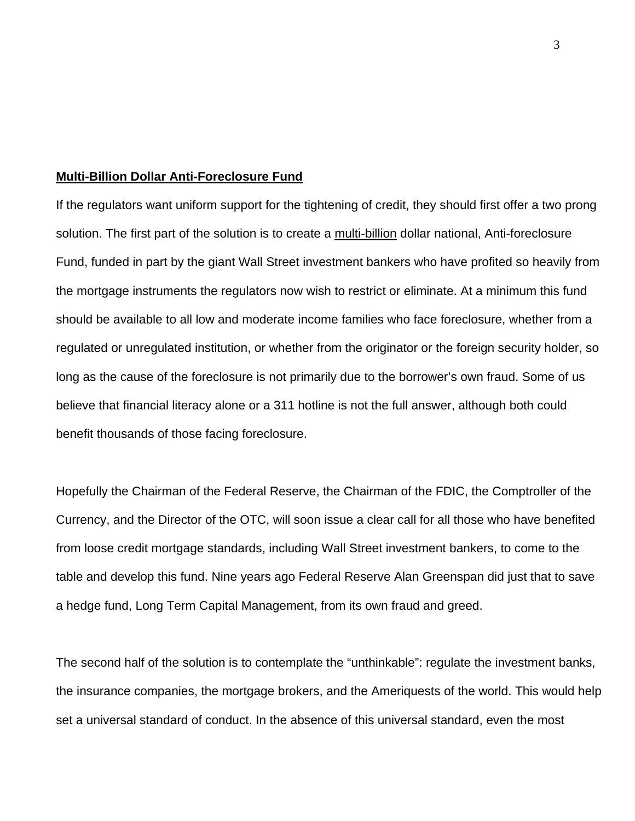### **Multi-Billion Dollar Anti-Foreclosure Fund**

If the regulators want uniform support for the tightening of credit, they should first offer a two prong solution. The first part of the solution is to create a multi-billion dollar national, Anti-foreclosure Fund, funded in part by the giant Wall Street investment bankers who have profited so heavily from the mortgage instruments the regulators now wish to restrict or eliminate. At a minimum this fund should be available to all low and moderate income families who face foreclosure, whether from a regulated or unregulated institution, or whether from the originator or the foreign security holder, so long as the cause of the foreclosure is not primarily due to the borrower's own fraud. Some of us believe that financial literacy alone or a 311 hotline is not the full answer, although both could benefit thousands of those facing foreclosure.

Hopefully the Chairman of the Federal Reserve, the Chairman of the FDIC, the Comptroller of the Currency, and the Director of the OTC, will soon issue a clear call for all those who have benefited from loose credit mortgage standards, including Wall Street investment bankers, to come to the table and develop this fund. Nine years ago Federal Reserve Alan Greenspan did just that to save a hedge fund, Long Term Capital Management, from its own fraud and greed.

The second half of the solution is to contemplate the "unthinkable": regulate the investment banks, the insurance companies, the mortgage brokers, and the Ameriquests of the world. This would help set a universal standard of conduct. In the absence of this universal standard, even the most